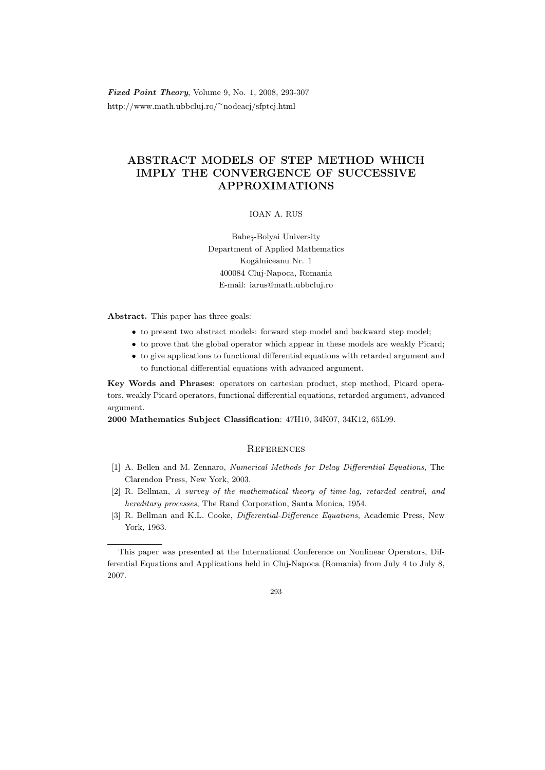Fixed Point Theory, Volume 9, No. 1, 2008, 293-307 http://www.math.ubbcluj.ro/<sup>∼</sup>nodeacj/sfptcj.html

## ABSTRACT MODELS OF STEP METHOD WHICH IMPLY THE CONVERGENCE OF SUCCESSIVE APPROXIMATIONS

## IOAN A. RUS

Babes-Bolyai University Department of Applied Mathematics Kogălniceanu Nr. 1 400084 Cluj-Napoca, Romania E-mail: iarus@math.ubbcluj.ro

Abstract. This paper has three goals:

- to present two abstract models: forward step model and backward step model;
- to prove that the global operator which appear in these models are weakly Picard;
- to give applications to functional differential equations with retarded argument and to functional differential equations with advanced argument.

Key Words and Phrases: operators on cartesian product, step method, Picard operators, weakly Picard operators, functional differential equations, retarded argument, advanced argument.

2000 Mathematics Subject Classification: 47H10, 34K07, 34K12, 65L99.

## **REFERENCES**

- [1] A. Bellen and M. Zennaro, Numerical Methods for Delay Differential Equations, The Clarendon Press, New York, 2003.
- [2] R. Bellman, A survey of the mathematical theory of time-lag, retarded central, and hereditary processes, The Rand Corporation, Santa Monica, 1954.
- [3] R. Bellman and K.L. Cooke, *Differential-Difference Equations*, Academic Press, New York, 1963.

This paper was presented at the International Conference on Nonlinear Operators, Differential Equations and Applications held in Cluj-Napoca (Romania) from July 4 to July 8, 2007.

<sup>293</sup>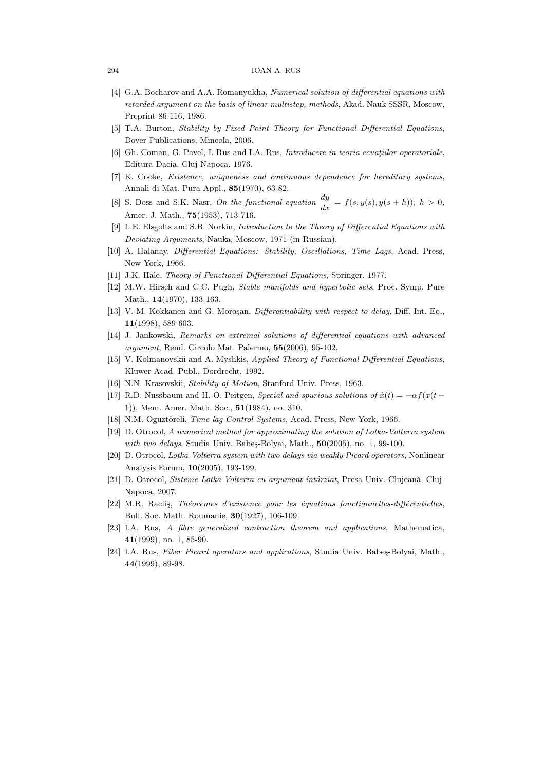## 294 IOAN A. RUS

- [4] G.A. Bocharov and A.A. Romanyukha, Numerical solution of differential equations with retarded argument on the basis of linear multistep, methods, Akad. Nauk SSSR, Moscow, Preprint 86-116, 1986.
- [5] T.A. Burton, Stability by Fixed Point Theory for Functional Differential Equations, Dover Publications, Mineola, 2006.
- [6] Gh. Coman, G. Pavel, I. Rus and I.A. Rus, *Introducere în teoria ecuatiilor operatoriale*, Editura Dacia, Cluj-Napoca, 1976.
- [7] K. Cooke, Existence, uniqueness and continuous dependence for hereditary systems, Annali di Mat. Pura Appl., 85(1970), 63-82.
- [8] S. Doss and S.K. Nasr, On the functional equation  $\frac{dy}{dx} = f(s, y(s), y(s+h))$ ,  $h > 0$ , Amer. J. Math., 75(1953), 713-716.
- [9] L.E. Elsgolts and S.B. Norkin, Introduction to the Theory of Differential Equations with Deviating Arguments, Nauka, Moscow, 1971 (in Russian).
- [10] A. Halanay, Differential Equations: Stability, Oscillations, Time Lags, Acad. Press, New York, 1966.
- [11] J.K. Hale, Theory of Functional Differential Equations, Springer, 1977.
- [12] M.W. Hirsch and C.C. Pugh, *Stable manifolds and hyperbolic sets*, Proc. Symp. Pure Math., 14(1970), 133-163.
- [13] V.-M. Kokkanen and G. Moroşan, *Differentiability with respect to delay*, Diff. Int. Eq., 11(1998), 589-603.
- [14] J. Jankowski, Remarks on extremal solutions of differential equations with advanced argument, Rend. Circolo Mat. Palermo, 55(2006), 95-102.
- [15] V. Kolmanovskii and A. Myshkis, Applied Theory of Functional Differential Equations, Kluwer Acad. Publ., Dordrecht, 1992.
- [16] N.N. Krasovskii, Stability of Motion, Stanford Univ. Press, 1963.
- [17] R.D. Nussbaum and H.-O. Peitgen, Special and spurious solutions of  $\dot{x}(t) = -\alpha f(x(t -$ 1)), Mem. Amer. Math. Soc., 51(1984), no. 310.
- [18] N.M. Oguztöreli, Time-lag Control Systems, Acad. Press, New York, 1966.
- [19] D. Otrocol, A numerical method for approximating the solution of Lotka-Volterra system with two delays, Studia Univ. Babes-Bolyai, Math.,  $50(2005)$ , no. 1, 99-100.
- [20] D. Otrocol, Lotka-Volterra system with two delays via weakly Picard operators, Nonlinear Analysis Forum, 10(2005), 193-199.
- [21] D. Otrocol, Sisteme Lotka-Volterra cu argument întârziat, Presa Univ. Clujeană, Cluj-Napoca, 2007.
- [22] M.R. Raclis, Théorèmes d'existence pour les équations fonctionnelles-différentielles, Bull. Soc. Math. Roumanie, 30(1927), 106-109.
- [23] I.A. Rus, A fibre generalized contraction theorem and applications, Mathematica, 41(1999), no. 1, 85-90.
- [24] I.A. Rus, Fiber Picard operators and applications, Studia Univ. Babes-Bolyai, Math., 44(1999), 89-98.